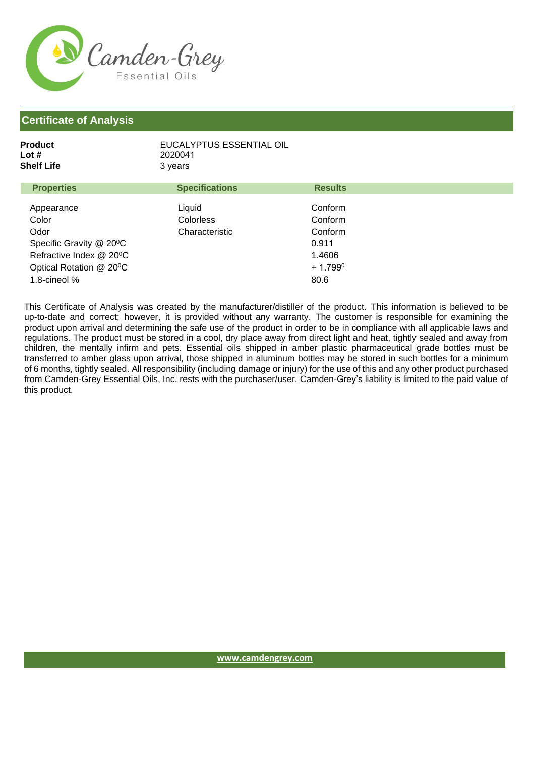

| EUCALYPTUS ESSENTIAL OIL |
|--------------------------|
| 2020041                  |
| 3 vears                  |
|                          |

| <b>Properties</b>       | <b>Specifications</b> | <b>Results</b>   |  |
|-------------------------|-----------------------|------------------|--|
|                         |                       |                  |  |
| Appearance              | Liquid                | Conform          |  |
| Color                   | <b>Colorless</b>      | Conform          |  |
| Odor                    | Characteristic        | Conform          |  |
| Specific Gravity @ 20°C |                       | 0.911            |  |
| Refractive Index @ 20°C |                       | 1.4606           |  |
| Optical Rotation @ 20°C |                       | $+1.799^{\circ}$ |  |
| 1.8-cineol %            |                       | 80.6             |  |

This Certificate of Analysis was created by the manufacturer/distiller of the product. This information is believed to be up-to-date and correct; however, it is provided without any warranty. The customer is responsible for examining the product upon arrival and determining the safe use of the product in order to be in compliance with all applicable laws and regulations. The product must be stored in a cool, dry place away from direct light and heat, tightly sealed and away from children, the mentally infirm and pets. Essential oils shipped in amber plastic pharmaceutical grade bottles must be transferred to amber glass upon arrival, those shipped in aluminum bottles may be stored in such bottles for a minimum of 6 months, tightly sealed. All responsibility (including damage or injury) for the use of this and any other product purchased from Camden-Grey Essential Oils, Inc. rests with the purchaser/user. Camden-Grey's liability is limited to the paid value of this product.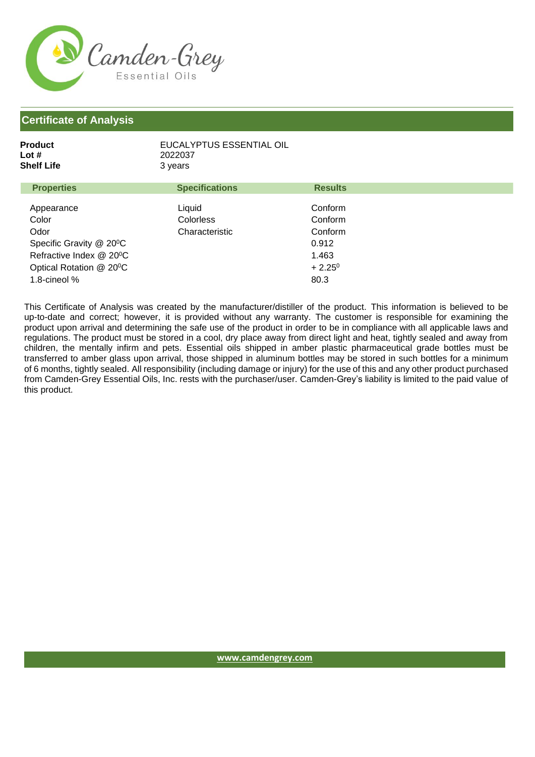

| Product    | EUCALYPTUS ESSENTIAL OIL |
|------------|--------------------------|
| Lot #      | 2022037                  |
| Shelf Life | 3 vears                  |

| <b>Properties</b>       | <b>Specifications</b> | <b>Results</b>  |  |
|-------------------------|-----------------------|-----------------|--|
| Appearance              | Liquid                | Conform         |  |
| Color                   | Colorless             | Conform         |  |
| Odor                    | Characteristic        | Conform         |  |
| Specific Gravity @ 20°C |                       | 0.912           |  |
| Refractive Index @ 20°C |                       | 1.463           |  |
| Optical Rotation @ 20°C |                       | $+2.25^{\circ}$ |  |
| 1.8-cineol %            |                       | 80.3            |  |

This Certificate of Analysis was created by the manufacturer/distiller of the product. This information is believed to be up-to-date and correct; however, it is provided without any warranty. The customer is responsible for examining the product upon arrival and determining the safe use of the product in order to be in compliance with all applicable laws and regulations. The product must be stored in a cool, dry place away from direct light and heat, tightly sealed and away from children, the mentally infirm and pets. Essential oils shipped in amber plastic pharmaceutical grade bottles must be transferred to amber glass upon arrival, those shipped in aluminum bottles may be stored in such bottles for a minimum of 6 months, tightly sealed. All responsibility (including damage or injury) for the use of this and any other product purchased from Camden-Grey Essential Oils, Inc. rests with the purchaser/user. Camden-Grey's liability is limited to the paid value of this product.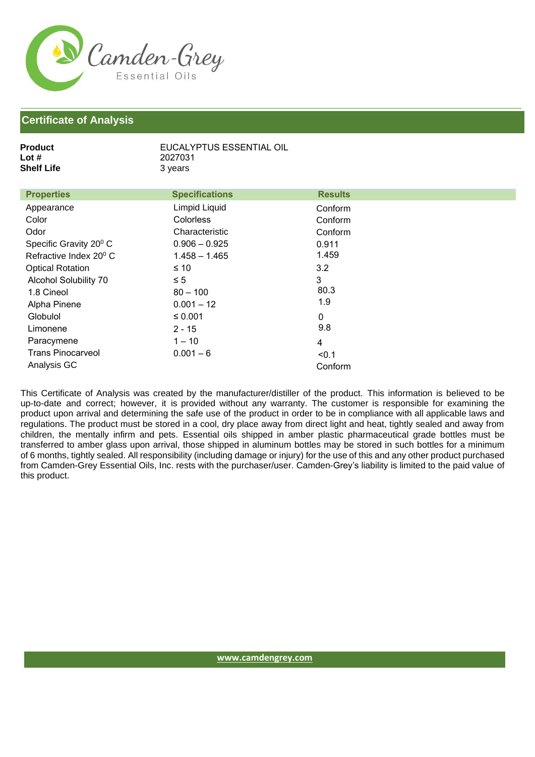

| <b>Product</b><br>Lot $#$          | EUCALYPTUS ESSENTIAL OIL<br>2027031 |                |  |
|------------------------------------|-------------------------------------|----------------|--|
| <b>Shelf Life</b>                  | 3 years                             |                |  |
|                                    |                                     |                |  |
| <b>Properties</b>                  | <b>Specifications</b>               | <b>Results</b> |  |
| Appearance                         | Limpid Liquid                       | Conform        |  |
| Color                              | <b>Colorless</b>                    | Conform        |  |
| Odor                               | Characteristic                      | Conform        |  |
| Specific Gravity 20 <sup>°</sup> C | $0.906 - 0.925$                     | 0.911          |  |
| Refractive Index 20 <sup>°</sup> C | $1.458 - 1.465$                     | 1.459          |  |
| <b>Optical Rotation</b>            | $\leq 10$                           | 3.2            |  |
| <b>Alcohol Solubility 70</b>       | $\leq 5$                            | 3              |  |
| 1.8 Cineol                         | $80 - 100$                          | 80.3           |  |
| Alpha Pinene                       | $0.001 - 12$                        | 1.9            |  |
| Globulol                           | ≤ 0.001                             | $\mathbf 0$    |  |
| Limonene                           | $2 - 15$                            | 9.8            |  |
| Paracymene                         | $1 - 10$                            | 4              |  |
| <b>Trans Pinocarveol</b>           | $0.001 - 6$                         | < 0.1          |  |
| Analysis GC                        |                                     | Conform        |  |
|                                    |                                     |                |  |

EUCALYPTUS ESSENTIAL OIL

This Certificate of Analysis was created by the manufacturer/distiller of the product. This information is believed to be up-to-date and correct; however, it is provided without any warranty. The customer is responsible for examining the product upon arrival and determining the safe use of the product in order to be in compliance with all applicable laws and regulations. The product must be stored in a cool, dry place away from direct light and heat, tightly sealed and away from children, the mentally infirm and pets. Essential oils shipped in amber plastic pharmaceutical grade bottles must be transferred to amber glass upon arrival, those shipped in aluminum bottles may be stored in such bottles for a minimum of 6 months, tightly sealed. All responsibility (including damage or injury) for the use of this and any other product purchased from Camden-Grey Essential Oils, Inc. rests with the purchaser/user. Camden-Grey's liability is limited to the paid value of this product.